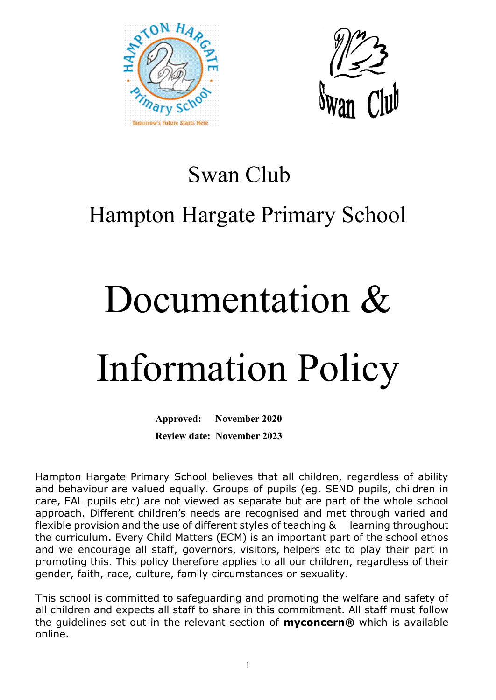



### Swan Club

## Hampton Hargate Primary School

## Documentation &

# Information Policy

**Approved: November 2020 Review date: November 2023**

Hampton Hargate Primary School believes that all children, regardless of ability and behaviour are valued equally. Groups of pupils (eg. SEND pupils, children in care, EAL pupils etc) are not viewed as separate but are part of the whole school approach. Different children's needs are recognised and met through varied and flexible provision and the use of different styles of teaching & learning throughout the curriculum. Every Child Matters (ECM) is an important part of the school ethos and we encourage all staff, governors, visitors, helpers etc to play their part in promoting this. This policy therefore applies to all our children, regardless of their gender, faith, race, culture, family circumstances or sexuality.

This school is committed to safeguarding and promoting the welfare and safety of all children and expects all staff to share in this commitment. All staff must follow the guidelines set out in the relevant section of **myconcern®** which is available online.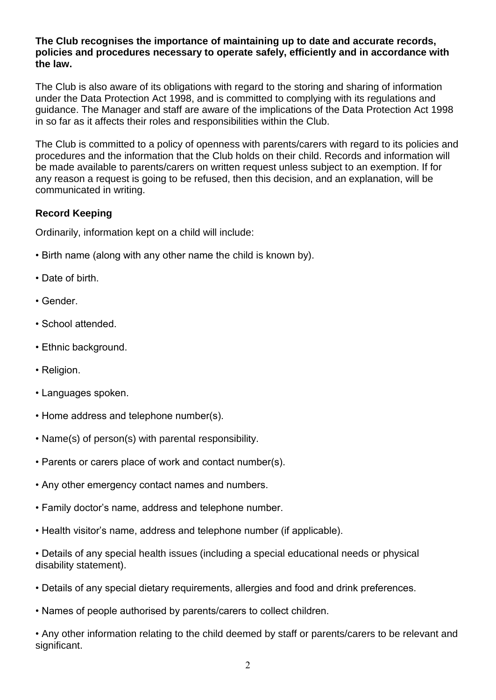#### **The Club recognises the importance of maintaining up to date and accurate records, policies and procedures necessary to operate safely, efficiently and in accordance with the law.**

The Club is also aware of its obligations with regard to the storing and sharing of information under the Data Protection Act 1998, and is committed to complying with its regulations and guidance. The Manager and staff are aware of the implications of the Data Protection Act 1998 in so far as it affects their roles and responsibilities within the Club.

The Club is committed to a policy of openness with parents/carers with regard to its policies and procedures and the information that the Club holds on their child. Records and information will be made available to parents/carers on written request unless subject to an exemption. If for any reason a request is going to be refused, then this decision, and an explanation, will be communicated in writing.

#### **Record Keeping**

Ordinarily, information kept on a child will include:

- Birth name (along with any other name the child is known by).
- Date of birth.
- Gender.
- School attended.
- Ethnic background.
- Religion.
- Languages spoken.
- Home address and telephone number(s).
- Name(s) of person(s) with parental responsibility.
- Parents or carers place of work and contact number(s).
- Any other emergency contact names and numbers.
- Family doctor's name, address and telephone number.
- Health visitor's name, address and telephone number (if applicable).
- Details of any special health issues (including a special educational needs or physical disability statement).
- Details of any special dietary requirements, allergies and food and drink preferences.
- Names of people authorised by parents/carers to collect children.

• Any other information relating to the child deemed by staff or parents/carers to be relevant and significant.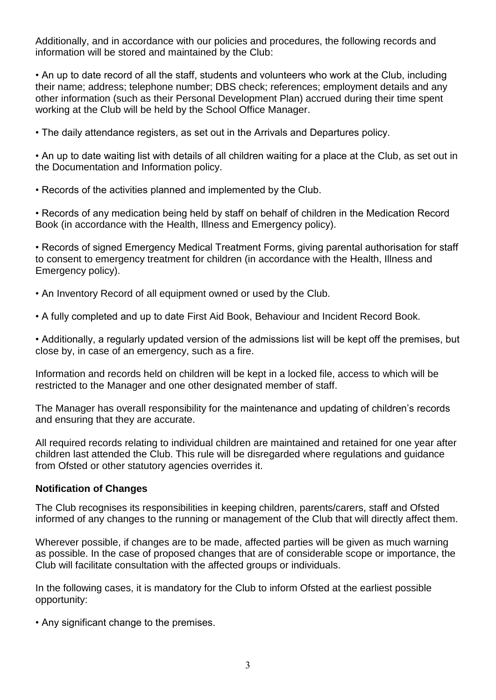Additionally, and in accordance with our policies and procedures, the following records and information will be stored and maintained by the Club:

• An up to date record of all the staff, students and volunteers who work at the Club, including their name; address; telephone number; DBS check; references; employment details and any other information (such as their Personal Development Plan) accrued during their time spent working at the Club will be held by the School Office Manager.

• The daily attendance registers, as set out in the Arrivals and Departures policy.

• An up to date waiting list with details of all children waiting for a place at the Club, as set out in the Documentation and Information policy.

• Records of the activities planned and implemented by the Club.

• Records of any medication being held by staff on behalf of children in the Medication Record Book (in accordance with the Health, Illness and Emergency policy).

• Records of signed Emergency Medical Treatment Forms, giving parental authorisation for staff to consent to emergency treatment for children (in accordance with the Health, Illness and Emergency policy).

• An Inventory Record of all equipment owned or used by the Club.

• A fully completed and up to date First Aid Book, Behaviour and Incident Record Book.

• Additionally, a regularly updated version of the admissions list will be kept off the premises, but close by, in case of an emergency, such as a fire.

Information and records held on children will be kept in a locked file, access to which will be restricted to the Manager and one other designated member of staff.

The Manager has overall responsibility for the maintenance and updating of children's records and ensuring that they are accurate.

All required records relating to individual children are maintained and retained for one year after children last attended the Club. This rule will be disregarded where regulations and guidance from Ofsted or other statutory agencies overrides it.

#### **Notification of Changes**

The Club recognises its responsibilities in keeping children, parents/carers, staff and Ofsted informed of any changes to the running or management of the Club that will directly affect them.

Wherever possible, if changes are to be made, affected parties will be given as much warning as possible. In the case of proposed changes that are of considerable scope or importance, the Club will facilitate consultation with the affected groups or individuals.

In the following cases, it is mandatory for the Club to inform Ofsted at the earliest possible opportunity:

• Any significant change to the premises.